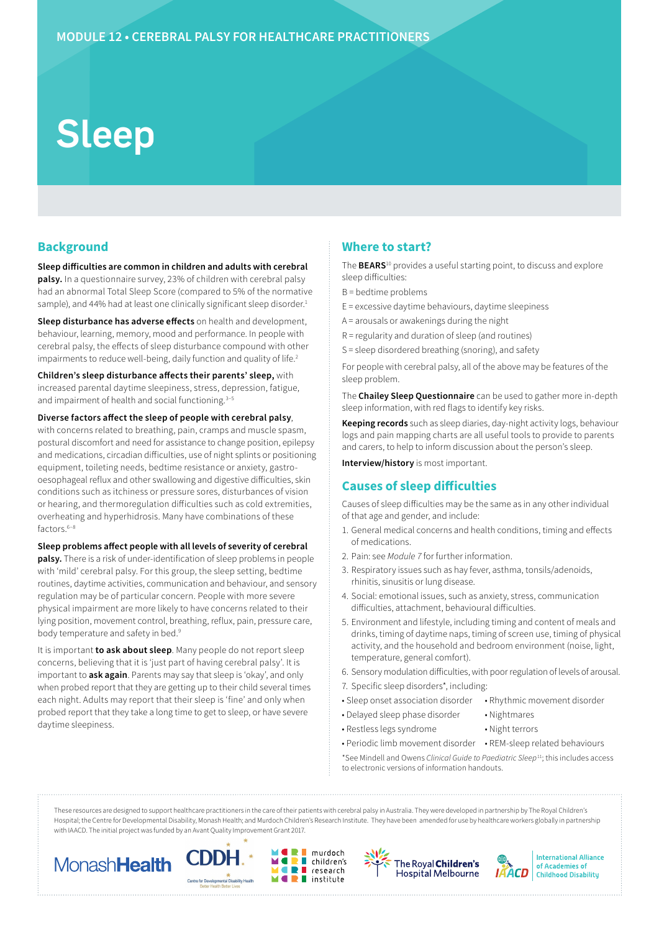# Sleep

## **Background**

**Sleep difficulties are common in children and adults with cerebral palsy.** In a questionnaire survey, 23% of children with cerebral palsy had an abnormal Total Sleep Score (compared to 5% of the normative sample), and 44% had at least one clinically significant sleep disorder.<sup>1</sup>

**Sleep disturbance has adverse effects** on health and development, behaviour, learning, memory, mood and performance. In people with cerebral palsy, the effects of sleep disturbance compound with other impairments to reduce well-being, daily function and quality of life.<sup>2</sup>

**Children's sleep disturbance affects their parents' sleep,** with increased parental daytime sleepiness, stress, depression, fatigue, and impairment of health and social functioning.<sup>3-5</sup>

**Diverse factors affect the sleep of people with cerebral palsy**, with concerns related to breathing, pain, cramps and muscle spasm, postural discomfort and need for assistance to change position, epilepsy and medications, circadian difficulties, use of night splints or positioning equipment, toileting needs, bedtime resistance or anxiety, gastrooesophageal reflux and other swallowing and digestive difficulties, skin conditions such as itchiness or pressure sores, disturbances of vision or hearing, and thermoregulation difficulties such as cold extremities, overheating and hyperhidrosis. Many have combinations of these factors.<sup>6-8</sup>

#### **Sleep problems affect people with all levels of severity of cerebral**

**palsy.** There is a risk of under-identification of sleep problems in people with 'mild' cerebral palsy. For this group, the sleep setting, bedtime routines, daytime activities, communication and behaviour, and sensory regulation may be of particular concern. People with more severe physical impairment are more likely to have concerns related to their lying position, movement control, breathing, reflux, pain, pressure care, body temperature and safety in bed.<sup>9</sup>

It is important **to ask about sleep**. Many people do not report sleep concerns, believing that it is 'just part of having cerebral palsy'. It is important to **ask again**. Parents may say that sleep is 'okay', and only when probed report that they are getting up to their child several times each night. Adults may report that their sleep is 'fine' and only when probed report that they take a long time to get to sleep, or have severe daytime sleepiness.

## **Where to start?**

The **BEARS**10 provides a useful starting point, to discuss and explore sleep difficulties:

- B = bedtime problems
- E = excessive daytime behaviours, daytime sleepiness
- A = arousals or awakenings during the night
- R = regularity and duration of sleep (and routines)
- S = sleep disordered breathing (snoring), and safety

For people with cerebral palsy, all of the above may be features of the sleep problem.

The **Chailey Sleep Questionnaire** can be used to gather more in-depth sleep information, with red flags to identify key risks.

**Keeping records** such as sleep diaries, day-night activity logs, behaviour logs and pain mapping charts are all useful tools to provide to parents and carers, to help to inform discussion about the person's sleep.

**Interview/history** is most important.

## **Causes of sleep difficulties**

Causes of sleep difficulties may be the same as in any other individual of that age and gender, and include:

- 1. General medical concerns and health conditions, timing and effects of medications.
- 2. Pain: see *Module 7* for further information.
- 3. Respiratory issues such as hay fever, asthma, tonsils/adenoids, rhinitis, sinusitis or lung disease.
- 4. Social: emotional issues, such as anxiety, stress, communication difficulties, attachment, behavioural difficulties.
- 5. Environment and lifestyle, including timing and content of meals and drinks, timing of daytime naps, timing of screen use, timing of physical activity, and the household and bedroom environment (noise, light, temperature, general comfort).
- 6. Sensory modulation difficulties, with poor regulation of levels of arousal.

• Nightmares • Night terrors

- 7. Specific sleep disorders\*, including:
- Sleep onset association disorder
- Delayed sleep phase disorder
- Restless legs syndrome
- Periodic limb movement disorder REM-sleep related behaviours

• Rhythmic movement disorder

\*See Mindell and Owens *Clinical Guide to Paediatric Sleep*11; this includes access to electronic versions of information handouts.

These resources are designed to support healthcare practitioners in the care of their patients with cerebral palsy in Australia. They were developed in partnership by The Royal Children's Hospital; the Centre for Developmental Disability, Monash Health; and Murdoch Children's Research Institute. They have been amended for use by healthcare workers globally in partnership with IAACD. The initial project was funded by an Avant Quality Improvement Grant 2017.

murdoch

research

 $\blacksquare$  children's

 $\blacksquare$  institute

п

÷









**International Alliance** of Academies of **Childhood Disability**